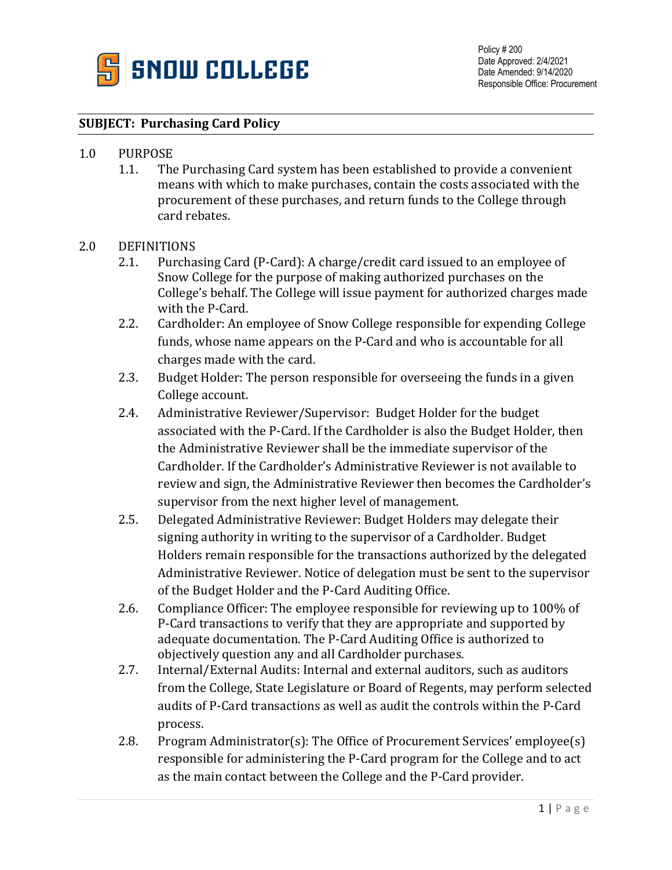

## **SUBJECT: Purchasing Card Policy**

## 1.0 PURPOSE

1.1. The Purchasing Card system has been established to provide a convenient means with which to make purchases, contain the costs associated with the procurement of these purchases, and return funds to the College through card rebates.

## 2.0 DEFINITIONS

- 2.1. Purchasing Card (P-Card): A charge/credit card issued to an employee of Snow College for the purpose of making authorized purchases on the College's behalf. The College will issue payment for authorized charges made with the P-Card.
- 2.2. Cardholder: An employee of Snow College responsible for expending College funds, whose name appears on the P-Card and who is accountable for all charges made with the card.
- 2.3. Budget Holder: The person responsible for overseeing the funds in a given College account.
- 2.4. Administrative Reviewer/Supervisor: Budget Holder for the budget associated with the P-Card. If the Cardholder is also the Budget Holder, then the Administrative Reviewer shall be the immediate supervisor of the Cardholder. If the Cardholder's Administrative Reviewer is not available to review and sign, the Administrative Reviewer then becomes the Cardholder's supervisor from the next higher level of management.
- 2.5. Delegated Administrative Reviewer: Budget Holders may delegate their signing authority in writing to the supervisor of a Cardholder. Budget Holders remain responsible for the transactions authorized by the delegated Administrative Reviewer. Notice of delegation must be sent to the supervisor of the Budget Holder and the P-Card Auditing Office.
- 2.6. Compliance Officer: The employee responsible for reviewing up to 100% of P-Card transactions to verify that they are appropriate and supported by adequate documentation. The P-Card Auditing Office is authorized to objectively question any and all Cardholder purchases.
- 2.7. Internal/External Audits: Internal and external auditors, such as auditors from the College, State Legislature or Board of Regents, may perform selected audits of P-Card transactions as well as audit the controls within the P-Card process.
- 2.8. Program Administrator(s): The Office of Procurement Services' employee(s) responsible for administering the P-Card program for the College and to act as the main contact between the College and the P-Card provider.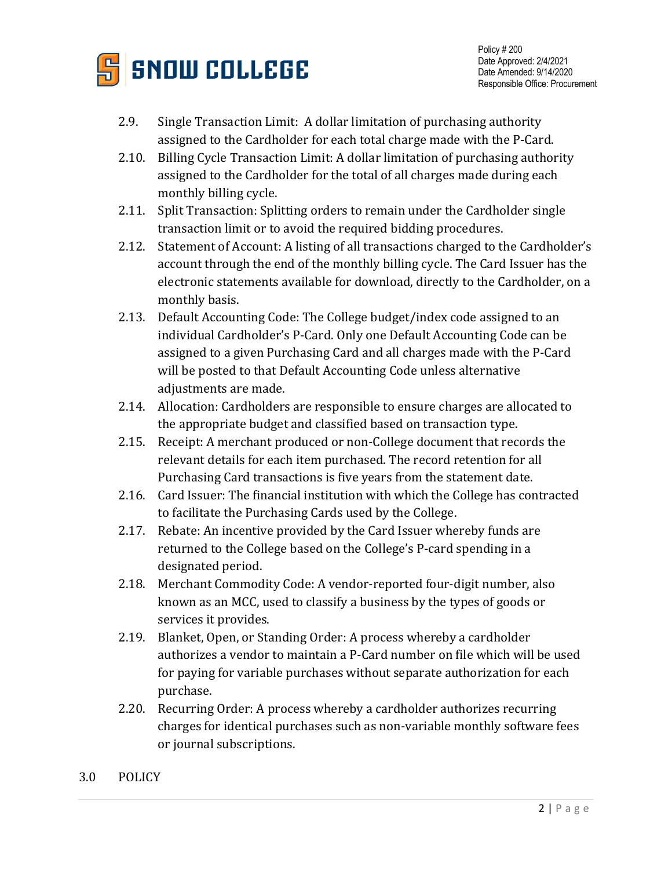

- 2.9. Single Transaction Limit: A dollar limitation of purchasing authority assigned to the Cardholder for each total charge made with the P-Card.
- 2.10. Billing Cycle Transaction Limit: A dollar limitation of purchasing authority assigned to the Cardholder for the total of all charges made during each monthly billing cycle.
- 2.11. Split Transaction: Splitting orders to remain under the Cardholder single transaction limit or to avoid the required bidding procedures.
- 2.12. Statement of Account: A listing of all transactions charged to the Cardholder's account through the end of the monthly billing cycle. The Card Issuer has the electronic statements available for download, directly to the Cardholder, on a monthly basis.
- 2.13. Default Accounting Code: The College budget/index code assigned to an individual Cardholder's P-Card. Only one Default Accounting Code can be assigned to a given Purchasing Card and all charges made with the P-Card will be posted to that Default Accounting Code unless alternative adiustments are made.
- 2.14. Allocation: Cardholders are responsible to ensure charges are allocated to the appropriate budget and classified based on transaction type.
- 2.15. Receipt: A merchant produced or non-College document that records the relevant details for each item purchased. The record retention for all Purchasing Card transactions is five years from the statement date.
- 2.16. Card Issuer: The financial institution with which the College has contracted to facilitate the Purchasing Cards used by the College.
- 2.17. Rebate: An incentive provided by the Card Issuer whereby funds are returned to the College based on the College's P-card spending in a designated period.
- 2.18. Merchant Commodity Code: A vendor-reported four-digit number, also known as an MCC, used to classify a business by the types of goods or services it provides.
- 2.19. Blanket, Open, or Standing Order: A process whereby a cardholder authorizes a vendor to maintain a P-Card number on file which will be used for paying for variable purchases without separate authorization for each purchase.
- 2.20. Recurring Order: A process whereby a cardholder authorizes recurring charges for identical purchases such as non-variable monthly software fees or journal subscriptions.
- 3.0 POLICY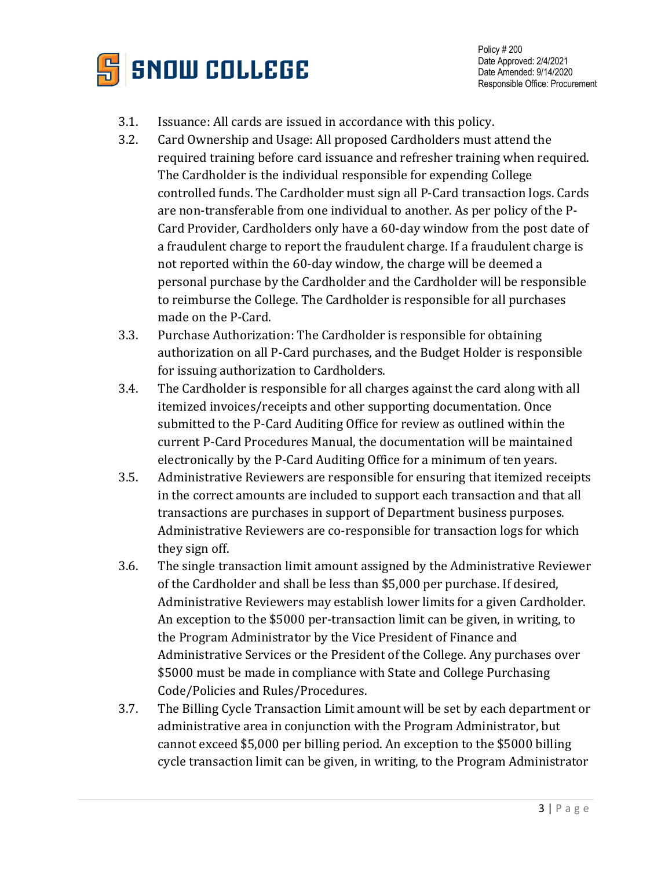

Policy # 200 Date Approved: 2/4/2021 Date Amended: 9/14/2020 Responsible Office: Procurement

- 3.1. Issuance: All cards are issued in accordance with this policy.
- 3.2. Card Ownership and Usage: All proposed Cardholders must attend the required training before card issuance and refresher training when required. The Cardholder is the individual responsible for expending College controlled funds. The Cardholder must sign all P-Card transaction logs. Cards are non-transferable from one individual to another. As per policy of the P-Card Provider, Cardholders only have a 60-day window from the post date of a fraudulent charge to report the fraudulent charge. If a fraudulent charge is not reported within the 60-day window, the charge will be deemed a personal purchase by the Cardholder and the Cardholder will be responsible to reimburse the College. The Cardholder is responsible for all purchases made on the P-Card.
- 3.3. Purchase Authorization: The Cardholder is responsible for obtaining authorization on all P-Card purchases, and the Budget Holder is responsible for issuing authorization to Cardholders.
- 3.4. The Cardholder is responsible for all charges against the card along with all itemized invoices/receipts and other supporting documentation. Once submitted to the P-Card Auditing Office for review as outlined within the current P-Card Procedures Manual, the documentation will be maintained electronically by the P-Card Auditing Office for a minimum of ten years.
- 3.5. Administrative Reviewers are responsible for ensuring that itemized receipts in the correct amounts are included to support each transaction and that all transactions are purchases in support of Department business purposes. Administrative Reviewers are co-responsible for transaction logs for which they sign off.
- 3.6. The single transaction limit amount assigned by the Administrative Reviewer of the Cardholder and shall be less than \$5,000 per purchase. If desired, Administrative Reviewers may establish lower limits for a given Cardholder. An exception to the \$5000 per-transaction limit can be given, in writing, to the Program Administrator by the Vice President of Finance and Administrative Services or the President of the College. Any purchases over \$5000 must be made in compliance with State and College Purchasing Code/Policies and Rules/Procedures.
- 3.7. The Billing Cycle Transaction Limit amount will be set by each department or administrative area in conjunction with the Program Administrator, but cannot exceed \$5,000 per billing period. An exception to the \$5000 billing cycle transaction limit can be given, in writing, to the Program Administrator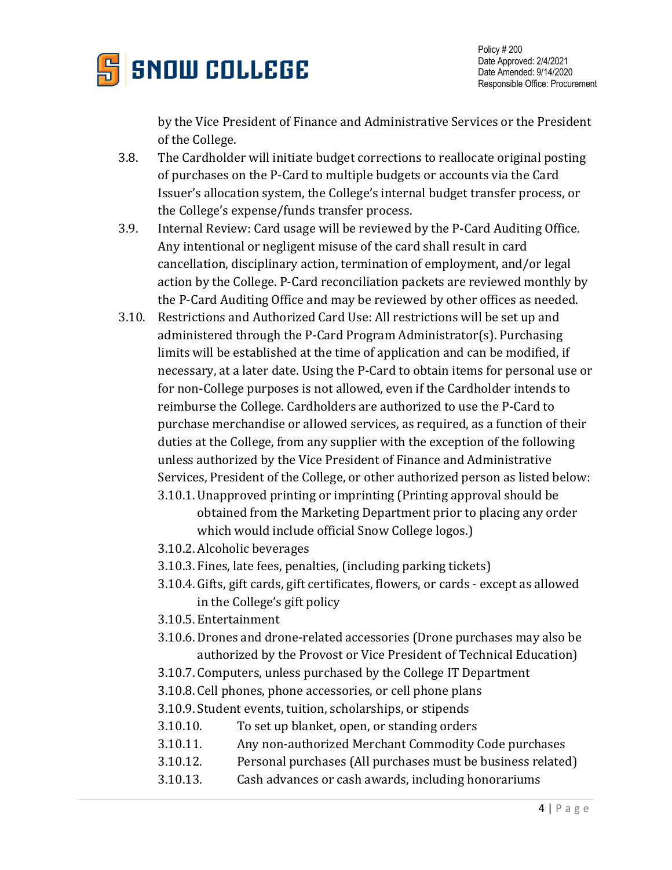

Policy # 200 Date Approved: 2/4/2021 Date Amended: 9/14/2020 Responsible Office: Procurement

by the Vice President of Finance and Administrative Services or the President of the College.

- 3.8. The Cardholder will initiate budget corrections to reallocate original posting of purchases on the P-Card to multiple budgets or accounts via the Card Issuer's allocation system, the College's internal budget transfer process, or the College's expense/funds transfer process.
- 3.9. Internal Review: Card usage will be reviewed by the P-Card Auditing Office. Any intentional or negligent misuse of the card shall result in card cancellation, disciplinary action, termination of employment, and/or legal action by the College. P-Card reconciliation packets are reviewed monthly by the P-Card Auditing Office and may be reviewed by other offices as needed.
- 3.10. Restrictions and Authorized Card Use: All restrictions will be set up and administered through the P-Card Program Administrator(s). Purchasing limits will be established at the time of application and can be modified, if necessary, at a later date. Using the P-Card to obtain items for personal use or for non-College purposes is not allowed, even if the Cardholder intends to reimburse the College. Cardholders are authorized to use the P-Card to purchase merchandise or allowed services, as required, as a function of their duties at the College, from any supplier with the exception of the following unless authorized by the Vice President of Finance and Administrative Services, President of the College, or other authorized person as listed below:
	- 3.10.1. Unapproved printing or imprinting (Printing approval should be obtained from the Marketing Department prior to placing any order which would include official Snow College logos.)
	- 3.10.2. Alcoholic beverages
	- 3.10.3. Fines, late fees, penalties, (including parking tickets)
	- 3.10.4. Gifts, gift cards, gift certificates, flowers, or cards except as allowed in the College's gift policy
	- 3.10.5. Entertainment
	- 3.10.6. Drones and drone-related accessories (Drone purchases may also be authorized by the Provost or Vice President of Technical Education)
	- 3.10.7. Computers, unless purchased by the College IT Department
	- 3.10.8. Cell phones, phone accessories, or cell phone plans
	- 3.10.9. Student events, tuition, scholarships, or stipends
	- 3.10.10. To set up blanket, open, or standing orders
	- 3.10.11. Any non-authorized Merchant Commodity Code purchases
	- 3.10.12. Personal purchases (All purchases must be business related)
	- 3.10.13. Cash advances or cash awards, including honorariums